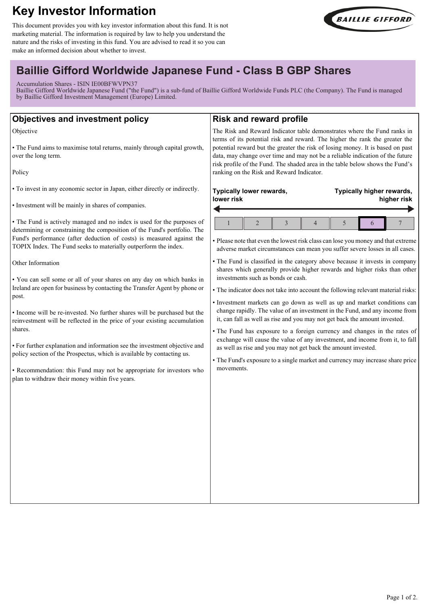# **Key Investor Information**

This document provides you with key investor information about this fund. It is not marketing material. The information is required by law to help you understand the nature and the risks of investing in this fund. You are advised to read it so you can make an informed decision about whether to invest.



# **Baillie Gifford Worldwide Japanese Fund - Class B GBP Shares**

Accumulation Shares - ISIN IE00BFWVPN37

Baillie Gifford Worldwide Japanese Fund ("the Fund") is a sub-fund of Baillie Gifford Worldwide Funds PLC (the Company). The Fund is managed by Baillie Gifford Investment Management (Europe) Limited.

| <b>Objectives and investment policy</b>                                                                                                                                                                                                                                                                                                                                                                                                                                                                                                                                                                                                                                                                                                                                                                                                                                                                                                                                                                                                                                             | <b>Risk and reward profile</b>                                                                                                                                                                                                                                                                                                                                                                                                                                                                                                                                                                                                                                                                                                                                                                                                                                                                                                                                                                                                                                                                                                                                                 |
|-------------------------------------------------------------------------------------------------------------------------------------------------------------------------------------------------------------------------------------------------------------------------------------------------------------------------------------------------------------------------------------------------------------------------------------------------------------------------------------------------------------------------------------------------------------------------------------------------------------------------------------------------------------------------------------------------------------------------------------------------------------------------------------------------------------------------------------------------------------------------------------------------------------------------------------------------------------------------------------------------------------------------------------------------------------------------------------|--------------------------------------------------------------------------------------------------------------------------------------------------------------------------------------------------------------------------------------------------------------------------------------------------------------------------------------------------------------------------------------------------------------------------------------------------------------------------------------------------------------------------------------------------------------------------------------------------------------------------------------------------------------------------------------------------------------------------------------------------------------------------------------------------------------------------------------------------------------------------------------------------------------------------------------------------------------------------------------------------------------------------------------------------------------------------------------------------------------------------------------------------------------------------------|
| Objective<br>• The Fund aims to maximise total returns, mainly through capital growth,<br>over the long term.<br>Policy                                                                                                                                                                                                                                                                                                                                                                                                                                                                                                                                                                                                                                                                                                                                                                                                                                                                                                                                                             | The Risk and Reward Indicator table demonstrates where the Fund ranks in<br>terms of its potential risk and reward. The higher the rank the greater the<br>potential reward but the greater the risk of losing money. It is based on past<br>data, may change over time and may not be a reliable indication of the future<br>risk profile of the Fund. The shaded area in the table below shows the Fund's<br>ranking on the Risk and Reward Indicator.                                                                                                                                                                                                                                                                                                                                                                                                                                                                                                                                                                                                                                                                                                                       |
| • To invest in any economic sector in Japan, either directly or indirectly.<br>• Investment will be mainly in shares of companies.<br>• The Fund is actively managed and no index is used for the purposes of<br>determining or constraining the composition of the Fund's portfolio. The<br>Fund's performance (after deduction of costs) is measured against the<br>TOPIX Index. The Fund seeks to materially outperform the index.<br>Other Information<br>. You can sell some or all of your shares on any day on which banks in<br>Ireland are open for business by contacting the Transfer Agent by phone or<br>post.<br>• Income will be re-invested. No further shares will be purchased but the<br>reinvestment will be reflected in the price of your existing accumulation<br>shares.<br>• For further explanation and information see the investment objective and<br>policy section of the Prospectus, which is available by contacting us.<br>• Recommendation: this Fund may not be appropriate for investors who<br>plan to withdraw their money within five years. | Typically lower rewards,<br>Typically higher rewards,<br>lower risk<br>higher risk<br>$\overline{2}$<br>3<br>$\overline{4}$<br>5<br>7<br>6<br>• Please note that even the lowest risk class can lose you money and that extreme<br>adverse market circumstances can mean you suffer severe losses in all cases.<br>• The Fund is classified in the category above because it invests in company<br>shares which generally provide higher rewards and higher risks than other<br>investments such as bonds or cash.<br>• The indicator does not take into account the following relevant material risks:<br>· Investment markets can go down as well as up and market conditions can<br>change rapidly. The value of an investment in the Fund, and any income from<br>it, can fall as well as rise and you may not get back the amount invested.<br>• The Fund has exposure to a foreign currency and changes in the rates of<br>exchange will cause the value of any investment, and income from it, to fall<br>as well as rise and you may not get back the amount invested.<br>• The Fund's exposure to a single market and currency may increase share price<br>movements. |